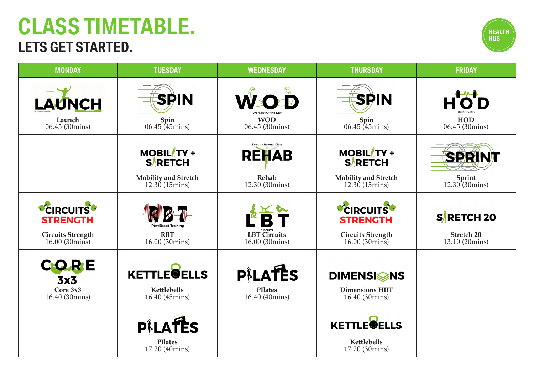# **CLASS TIMETABLE. LETS GET STARTED.**



| <b>MONDAY</b>                                       | <b>TUESDAY</b>                              | <b>WEDNESDAY</b>                               | <b>THURSDAY</b>                                     | <b>FRIDAY</b>                       |
|-----------------------------------------------------|---------------------------------------------|------------------------------------------------|-----------------------------------------------------|-------------------------------------|
| <b>LAUNCH</b>                                       | <b>SPIN</b>                                 | WSOED                                          | SPIN                                                |                                     |
| Launch<br>06.45 (30mins)                            | $Spin$<br>06.45 (45mins)                    | <b>WOD</b><br>06.45 (30mins)                   | $Spin$<br>06.45 (45mins)                            | <b>HOD</b><br>06.45 (30mins)        |
|                                                     | <b>MOBIL TY +</b><br><b>SARETCH</b>         | <b>Exercise Referral Class</b><br><b>REHAB</b> | <b>MOBIL TY +</b><br><b>SARETCH</b>                 | <b>SPP</b>                          |
|                                                     | <b>Mobility and Stretch</b><br>12.30(15)    | Rehab<br>12.30 (30mins)                        | <b>Mobility and Stretch</b><br>12.30(15)            | Sprint<br>$12.30(30)$ mins)         |
| <b>CIRCUITS</b><br><b>STRENGTH</b>                  |                                             |                                                | <b>CIRCUITS</b><br><b>STRENGTH</b>                  | SARETCH 20                          |
| <b>Circuits Strength</b><br>$16.00(30 \text{mins})$ | <b>RBT</b><br>16.00 (30mins)                | <b>LBT</b> Circuits<br>16.00 (30mins)          | <b>Circuits Strength</b><br>16.00 (30mins)          | <b>Stretch 20</b><br>13.10 (20mins) |
| CORE<br>3x <sub>3</sub>                             | <b>KETTLE</b> OELLS                         | PILATES                                        | <b>DIMENSISSINS</b>                                 |                                     |
| Core $3x3$<br>16.40 (30mins)                        | Kettlebells<br>16.40 (45mins)               | <b>PIlates</b><br>16.40 (40mins)               | <b>Dimensions HIIT</b><br>16.40 (30 mins)           |                                     |
|                                                     | PILATES<br><b>PIlates</b><br>17.20 (40mins) |                                                | <b>KETTLEOELLS</b><br>Kettlebells<br>17.20 (30mins) |                                     |